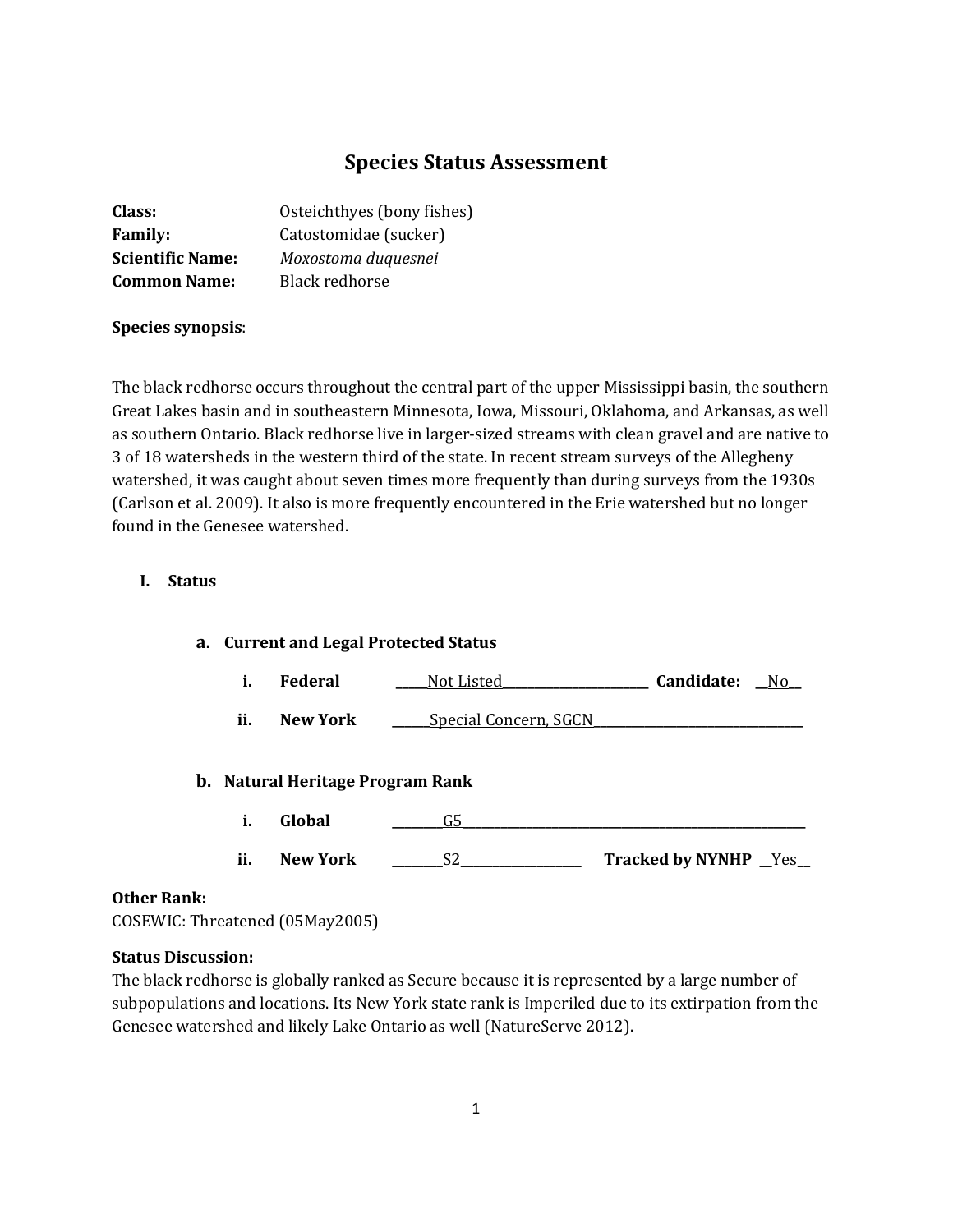# **Species Status Assessment**

| Class:                  | Osteichthyes (bony fishes) |
|-------------------------|----------------------------|
| <b>Family:</b>          | Catostomidae (sucker)      |
| <b>Scientific Name:</b> | Moxostoma duquesnei        |
| <b>Common Name:</b>     | Black redhorse             |

#### **Species synopsis**:

The black redhorse occurs throughout the central part of the upper Mississippi basin, the southern Great Lakes basin and in southeastern Minnesota, Iowa, Missouri, Oklahoma, and Arkansas, as well as southern Ontario. Black redhorse live in larger-sized streams with clean gravel and are native to 3 of 18 watersheds in the western third of the state. In recent stream surveys of the Allegheny watershed, it was caught about seven times more frequently than during surveys from the 1930s (Carlson et al. 2009). It also is more frequently encountered in the Erie watershed but no longer found in the Genesee watershed.

## **I. Status**

#### **a. Current and Legal Protected Status**

- **i. Federal \_\_\_\_\_**Not Listed**\_\_\_\_\_\_\_\_\_\_\_\_\_\_\_\_\_\_\_\_\_\_\_ Candidate: \_\_**No**\_\_**
- **ii. New York \_\_\_\_\_**Special Concern, SGCN

### **b. Natural Heritage Program Rank**

- **i. Global \_\_\_\_\_\_\_\_**G5**\_\_\_\_\_\_\_\_\_\_\_\_\_\_\_\_\_\_\_\_\_\_\_\_\_\_\_\_\_\_\_\_\_\_\_\_\_\_\_\_\_\_\_\_\_\_\_\_\_\_\_\_\_\_**
- **ii. New York 20 S2 Tracked by NYNHP Yes**

### **Other Rank:**

COSEWIC: Threatened (05May2005)

#### **Status Discussion:**

The black redhorse is globally ranked as Secure because it is represented by a large number of subpopulations and locations. Its New York state rank is Imperiled due to its extirpation from the Genesee watershed and likely Lake Ontario as well (NatureServe 2012).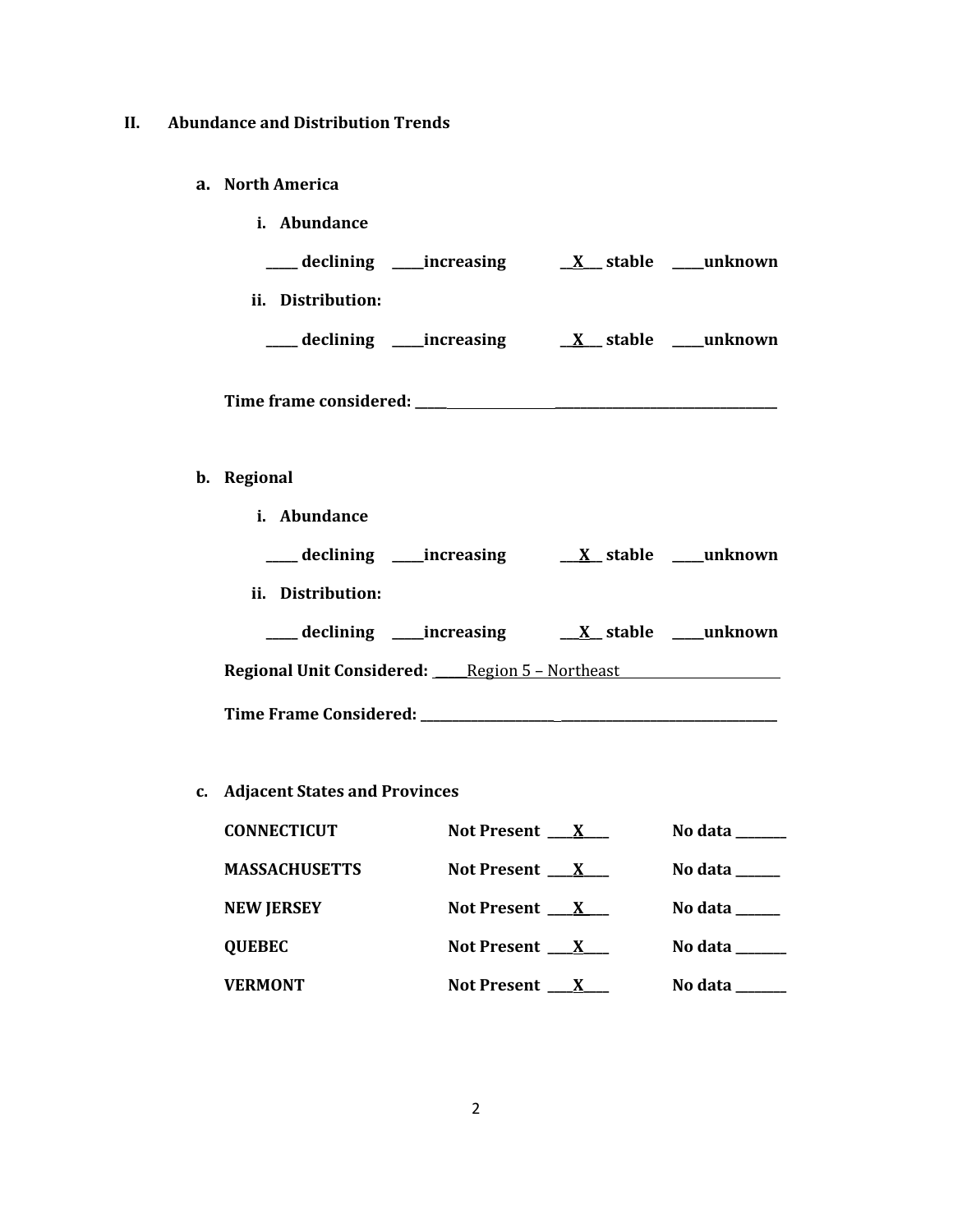## **II. Abundance and Distribution Trends**

#### **a. North America**

**b**.

| <i>i.</i> Abundance                                                  |                             |
|----------------------------------------------------------------------|-----------------------------|
|                                                                      |                             |
| ii. Distribution:                                                    |                             |
|                                                                      |                             |
|                                                                      |                             |
| Regional                                                             |                             |
| i. Abundance                                                         |                             |
| ____ declining _____increasing _____ <u>__X__</u> stable ____unknown |                             |
| ii. Distribution:                                                    |                             |
| ____ declining _____increasing                                       | $X_$ stable $\_\_\$ unknown |

**Regional Unit Considered: \_\_\_\_\_**Region 5 – Northeast

**Time Frame Considered: \_\_\_\_\_\_\_\_\_\_\_\_\_\_\_\_\_\_\_\_\_ \_\_\_\_\_\_\_\_\_\_\_\_\_\_\_\_\_\_\_\_\_\_\_\_\_\_\_\_\_\_\_\_\_\_**

# **c. Adjacent States and Provinces**

| <b>CONNECTICUT</b>   | Not Present $\mathbf{X}$ | No data $\_\_\_\_\_\_\_\_\_\_\_\_\_\_\_\_\_\_\_\_\_\_\_\_\_\_\_\_\_\_$   |
|----------------------|--------------------------|--------------------------------------------------------------------------|
| <b>MASSACHUSETTS</b> | Not Present $\mathbf{X}$ | No data $\qquad \qquad$                                                  |
| <b>NEW JERSEY</b>    | Not Present $\mathbf{X}$ | No data $\_\_$                                                           |
| <b>QUEBEC</b>        | Not Present $X$          | No data $\_\_\_\_\_\_\_\_\_\_\_\_\_\_\_\_\_\_\_\_\_\_\_\_\_\_\_\_\_\_\_$ |
| <b>VERMONT</b>       | Not Present $\mathbf{X}$ | No data                                                                  |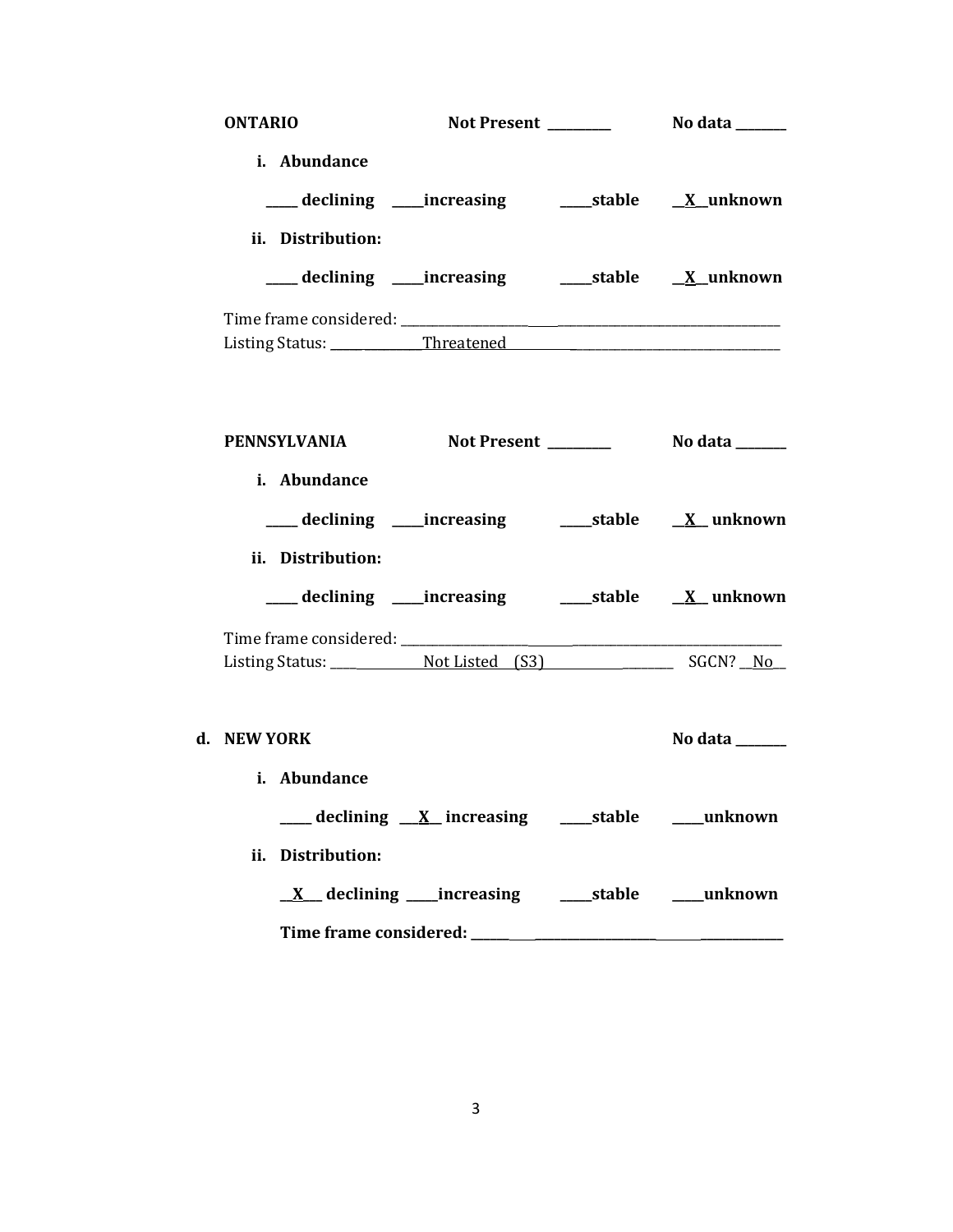| <b>ONTARIO</b>               |                                                                  |                |
|------------------------------|------------------------------------------------------------------|----------------|
| i. Abundance                 | ___ declining ____increasing ______stable ___ <u>X</u> _unknown  |                |
| ii. Distribution:            | ___ declining ____increasing _______stable ___ <u>X</u> _unknown |                |
|                              |                                                                  |                |
| PENNSYLVANIA<br>i. Abundance |                                                                  |                |
| ii. Distribution:            | ___ declining ____increasing ______stable ___ <u>X_</u> unknown  |                |
|                              | ___declining ___increasing _____stable ___ <u>X</u> _unknown     |                |
|                              |                                                                  |                |
| d. NEW YORK<br>i. Abundance  |                                                                  | No data ______ |
| ii. Distribution:            | ___ declining <u>X</u> increasing ___stable ___unknown           |                |
|                              | <u>X</u> declining increasing ____stable ____unknown             |                |
|                              |                                                                  |                |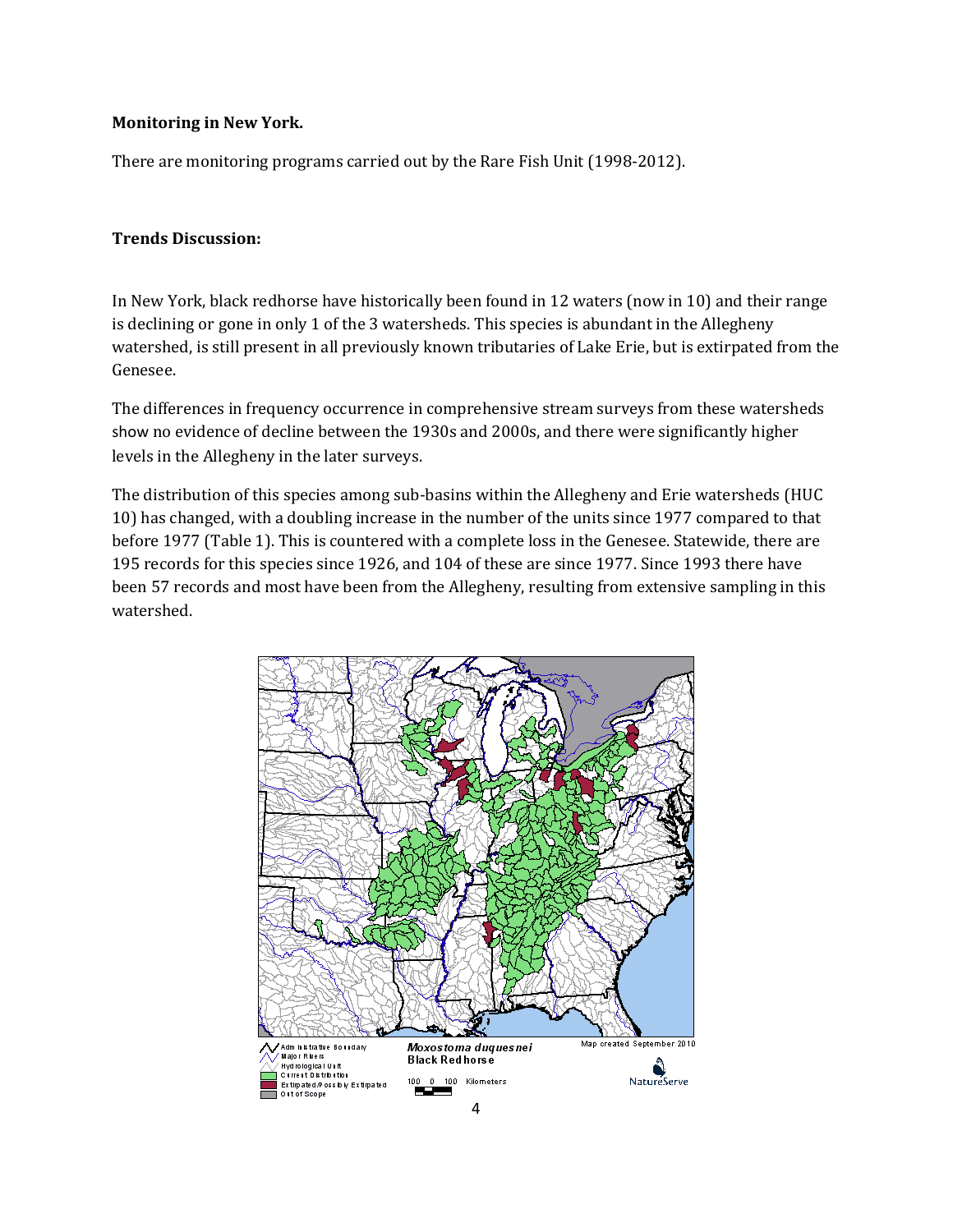## **Monitoring in New York.**

There are monitoring programs carried out by the Rare Fish Unit (1998-2012).

## **Trends Discussion:**

In New York, black redhorse have historically been found in 12 waters (now in 10) and their range is declining or gone in only 1 of the 3 watersheds. This species is abundant in the Allegheny watershed, is still present in all previously known tributaries of Lake Erie, but is extirpated from the Genesee.

The differences in frequency occurrence in comprehensive stream surveys from these watersheds show no evidence of decline between the 1930s and 2000s, and there were significantly higher levels in the Allegheny in the later surveys.

The distribution of this species among sub-basins within the Allegheny and Erie watersheds (HUC 10) has changed, with a doubling increase in the number of the units since 1977 compared to that before 1977 (Table 1). This is countered with a complete loss in the Genesee. Statewide, there are 195 records for this species since 1926, and 104 of these are since 1977. Since 1993 there have been 57 records and most have been from the Allegheny, resulting from extensive sampling in this watershed.

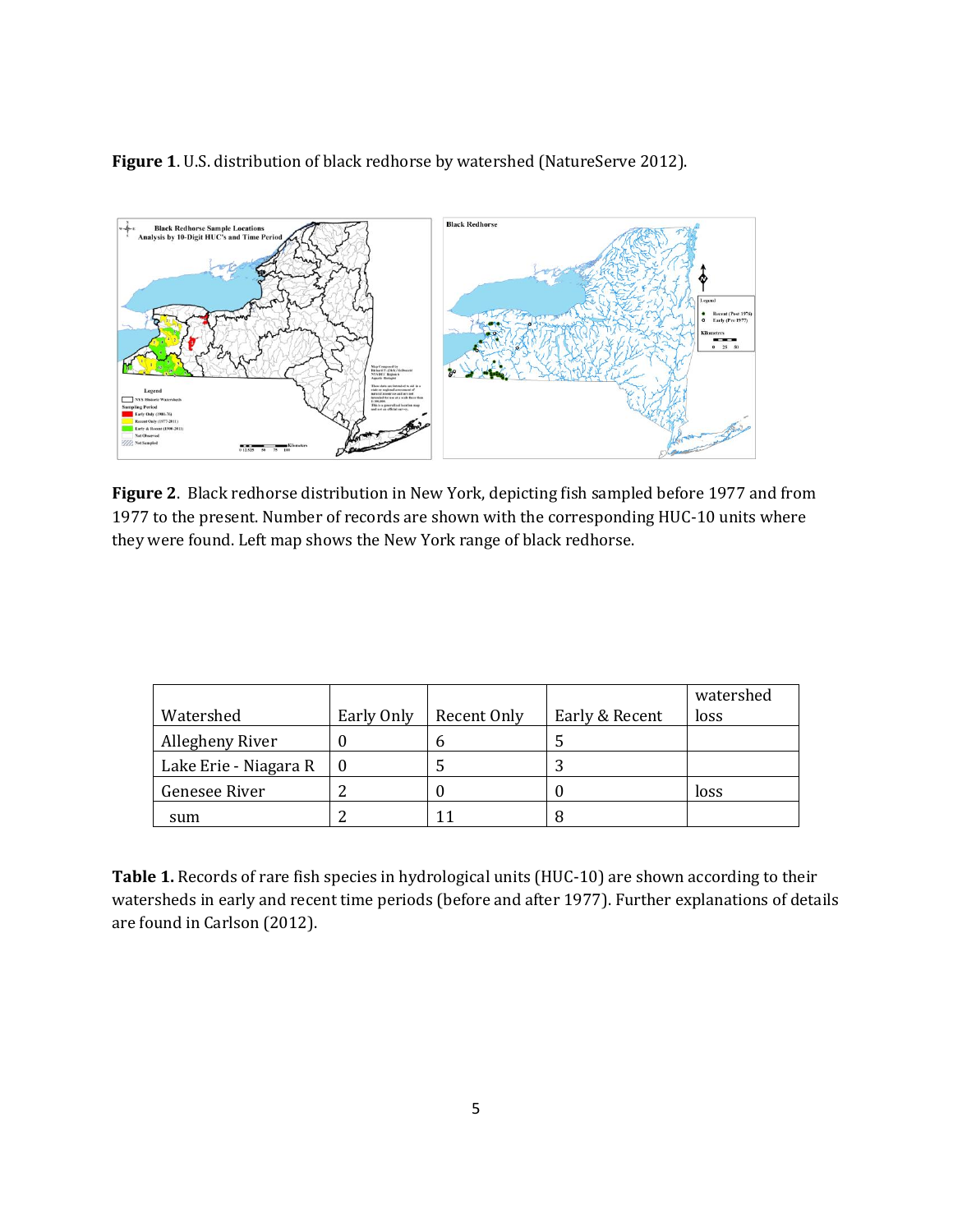**Figure 1**. U.S. distribution of black redhorse by watershed (NatureServe 2012).



**Figure 2**. Black redhorse distribution in New York, depicting fish sampled before 1977 and from 1977 to the present. Number of records are shown with the corresponding HUC-10 units where they were found. Left map shows the New York range of black redhorse.

|                       |            |             |                | watershed |
|-----------------------|------------|-------------|----------------|-----------|
| Watershed             | Early Only | Recent Only | Early & Recent | loss      |
| Allegheny River       |            | n           |                |           |
| Lake Erie - Niagara R |            |             |                |           |
| Genesee River         |            |             |                | loss      |
| sum                   |            |             |                |           |

**Table 1.** Records of rare fish species in hydrological units (HUC-10) are shown according to their watersheds in early and recent time periods (before and after 1977). Further explanations of details are found in Carlson (2012).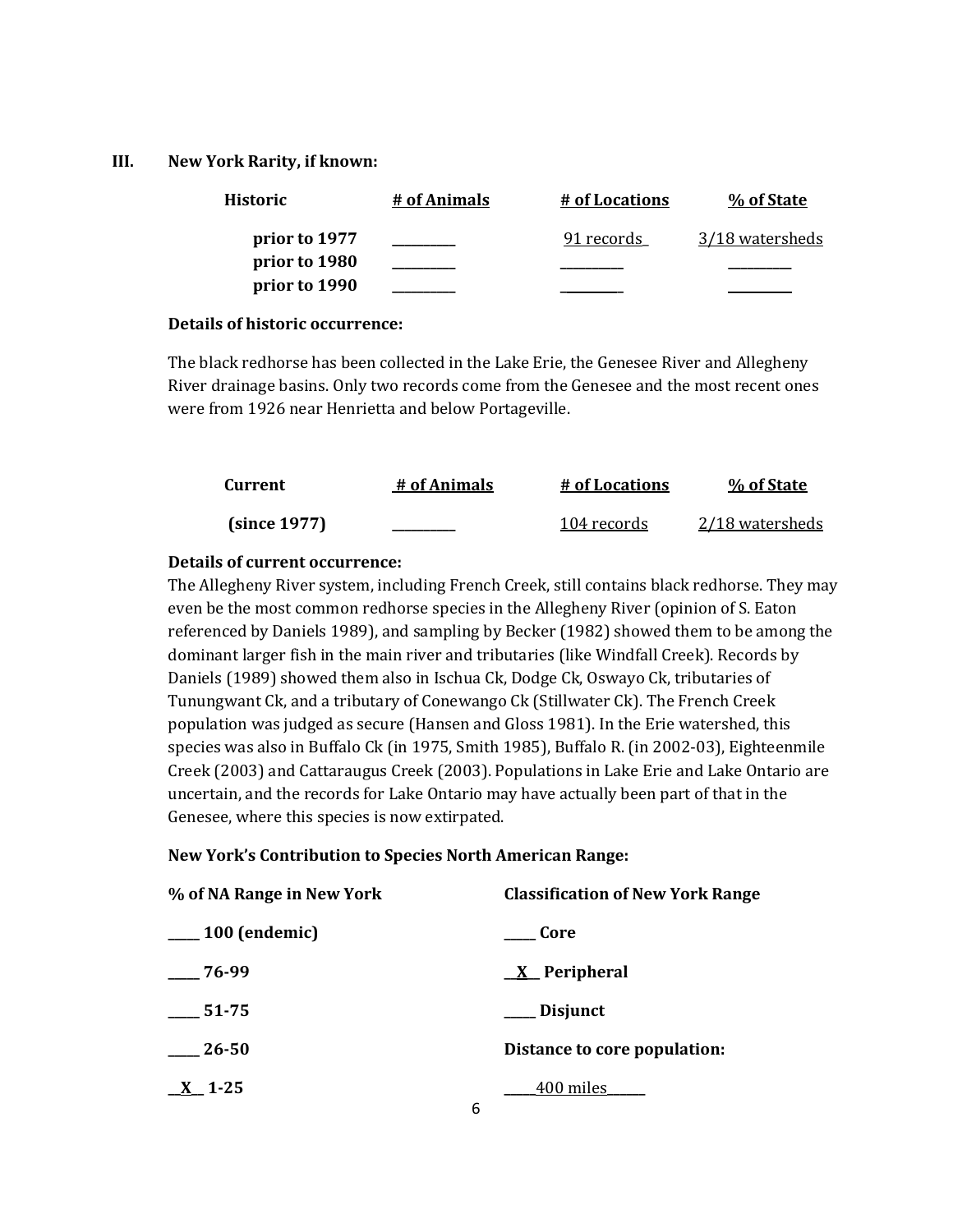### **III. New York Rarity, if known:**

| <b>Historic</b> | # of Animals | <u># of Locations</u> | % of State      |
|-----------------|--------------|-----------------------|-----------------|
| prior to 1977   |              | 91 records            | 3/18 watersheds |
| prior to 1980   |              |                       |                 |
| prior to 1990   |              |                       |                 |

### **Details of historic occurrence:**

The black redhorse has been collected in the Lake Erie, the Genesee River and Allegheny River drainage basins. Only two records come from the Genesee and the most recent ones were from 1926 near Henrietta and below Portageville.

| Current      | # of Animals | # of Locations | % of State      |
|--------------|--------------|----------------|-----------------|
| (since 1977) |              | 104 records    | 2/18 watersheds |

## **Details of current occurrence:**

The Allegheny River system, including French Creek, still contains black redhorse. They may even be the most common redhorse species in the Allegheny River (opinion of S. Eaton referenced by Daniels 1989), and sampling by Becker (1982) showed them to be among the dominant larger fish in the main river and tributaries (like Windfall Creek). Records by Daniels (1989) showed them also in Ischua Ck, Dodge Ck, Oswayo Ck, tributaries of Tunungwant Ck, and a tributary of Conewango Ck (Stillwater Ck). The French Creek population was judged as secure (Hansen and Gloss 1981). In the Erie watershed, this species was also in Buffalo Ck (in 1975, Smith 1985), Buffalo R. (in 2002-03), Eighteenmile Creek (2003) and Cattaraugus Creek (2003). Populations in Lake Erie and Lake Ontario are uncertain, and the records for Lake Ontario may have actually been part of that in the Genesee, where this species is now extirpated.

## **New York's Contribution to Species North American Range:**

| % of NA Range in New York   | <b>Classification of New York Range</b> |
|-----------------------------|-----------------------------------------|
| <sub>__</sub> 100 (endemic) | Core                                    |
| 76-99                       | <u>X</u> Peripheral                     |
| 51-75                       | __ Disjunct                             |
| 26-50                       | Distance to core population:            |
| $X_1$ -25                   | 400 miles<br>6                          |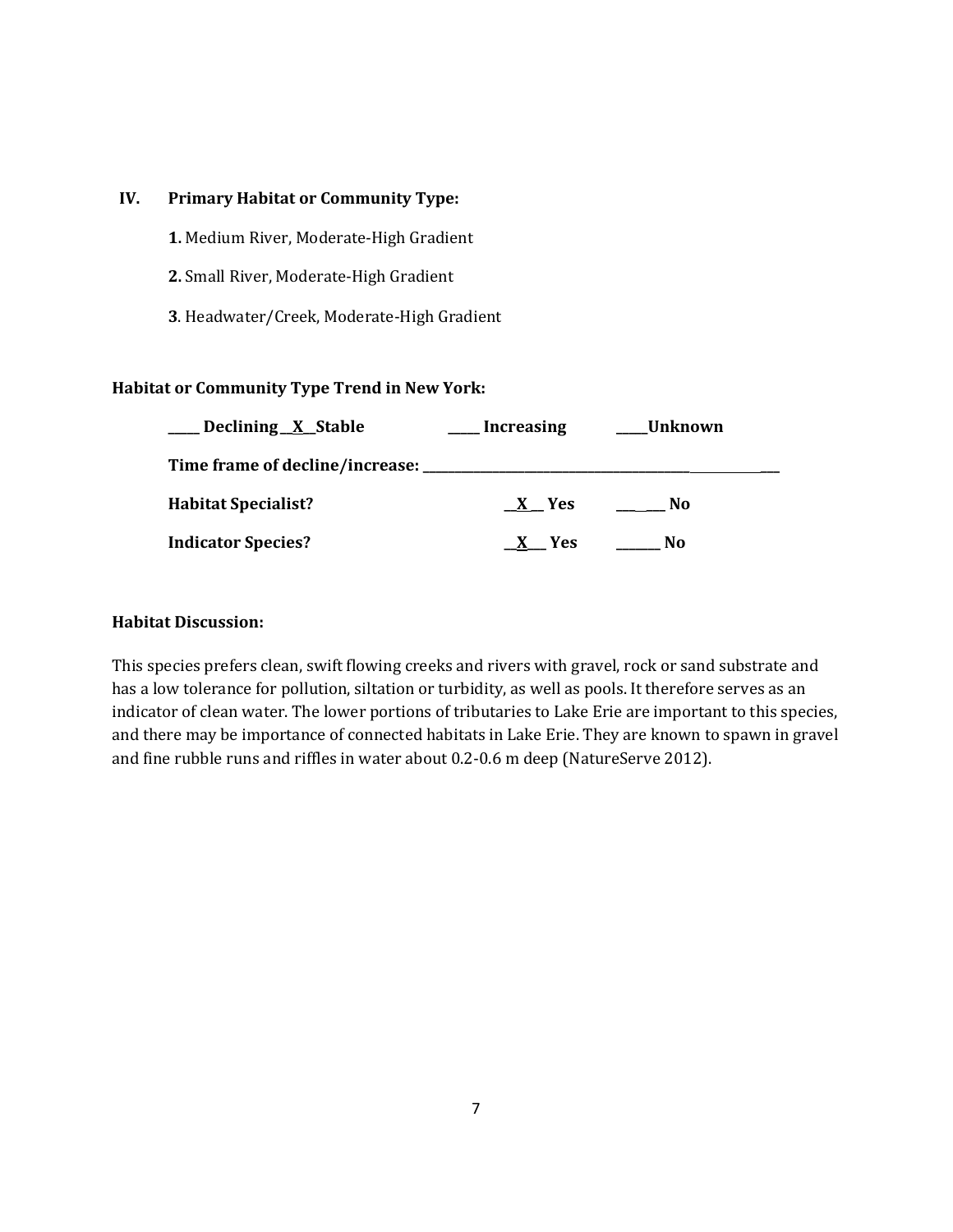## **IV. Primary Habitat or Community Type:**

- **1.** Medium River, Moderate-High Gradient
- **2.** Small River, Moderate-High Gradient
- **3**. Headwater/Creek, Moderate-High Gradient

## **Habitat or Community Type Trend in New York:**

| Declining X Stable                      | <b>Increasing</b> | Unknown        |
|-----------------------------------------|-------------------|----------------|
| Time frame of decline/increase: _______ |                   |                |
| <b>Habitat Specialist?</b>              | X Yes             | N <sub>0</sub> |
| <b>Indicator Species?</b>               | Yes               | No.            |

## **Habitat Discussion:**

This species prefers clean, swift flowing creeks and rivers with gravel, rock or sand substrate and has a low tolerance for pollution, siltation or turbidity, as well as pools. It therefore serves as an indicator of clean water. The lower portions of tributaries to Lake Erie are important to this species, and there may be importance of connected habitats in Lake Erie. They are known to spawn in gravel and fine rubble runs and riffles in water about 0.2-0.6 m deep (NatureServe 2012).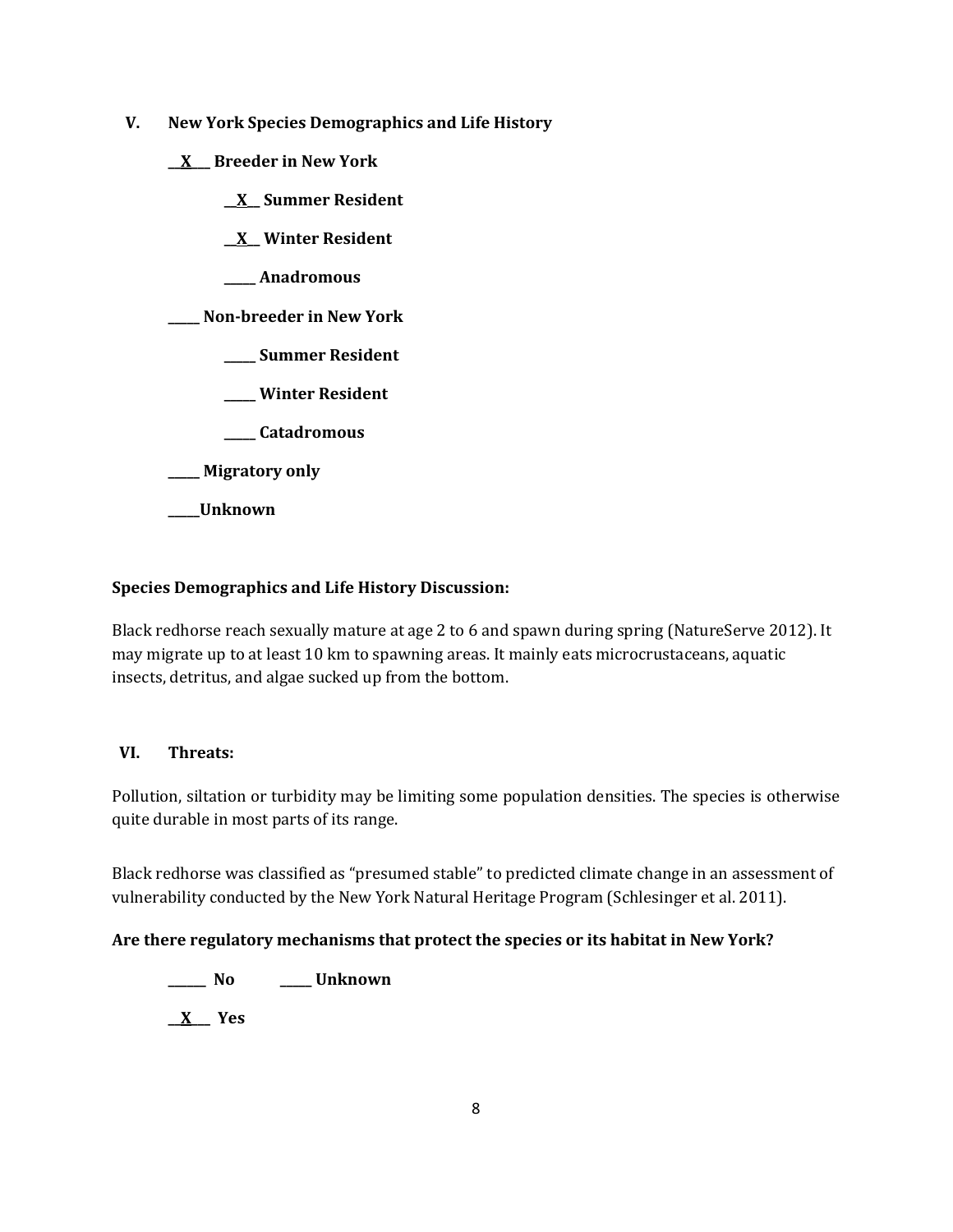- **V. New York Species Demographics and Life History**
	- **\_\_X\_\_\_ Breeder in New York**
		- **\_\_X\_\_ Summer Resident**
		- **\_\_X\_\_ Winter Resident**
		- **\_\_\_\_\_ Anadromous**

## **\_\_\_\_\_ Non-breeder in New York**

- **\_\_\_\_\_ Summer Resident**
- **\_\_\_\_\_ Winter Resident**
- **\_\_\_\_\_ Catadromous**
- **\_\_\_\_\_ Migratory only**
- **\_\_\_\_\_Unknown**

## **Species Demographics and Life History Discussion:**

Black redhorse reach sexually mature at age 2 to 6 and spawn during spring (NatureServe 2012). It may migrate up to at least 10 km to spawning areas. It mainly eats microcrustaceans, aquatic insects, detritus, and algae sucked up from the bottom.

## **VI. Threats:**

Pollution, siltation or turbidity may be limiting some population densities. The species is otherwise quite durable in most parts of its range.

Black redhorse was classified as "presumed stable" to predicted climate change in an assessment of vulnerability conducted by the New York Natural Heritage Program (Schlesinger et al. 2011).

## **Are there regulatory mechanisms that protect the species or its habitat in New York?**

**\_\_\_\_\_\_ No \_\_\_\_\_ Unknown**

**\_\_X\_\_\_ Yes**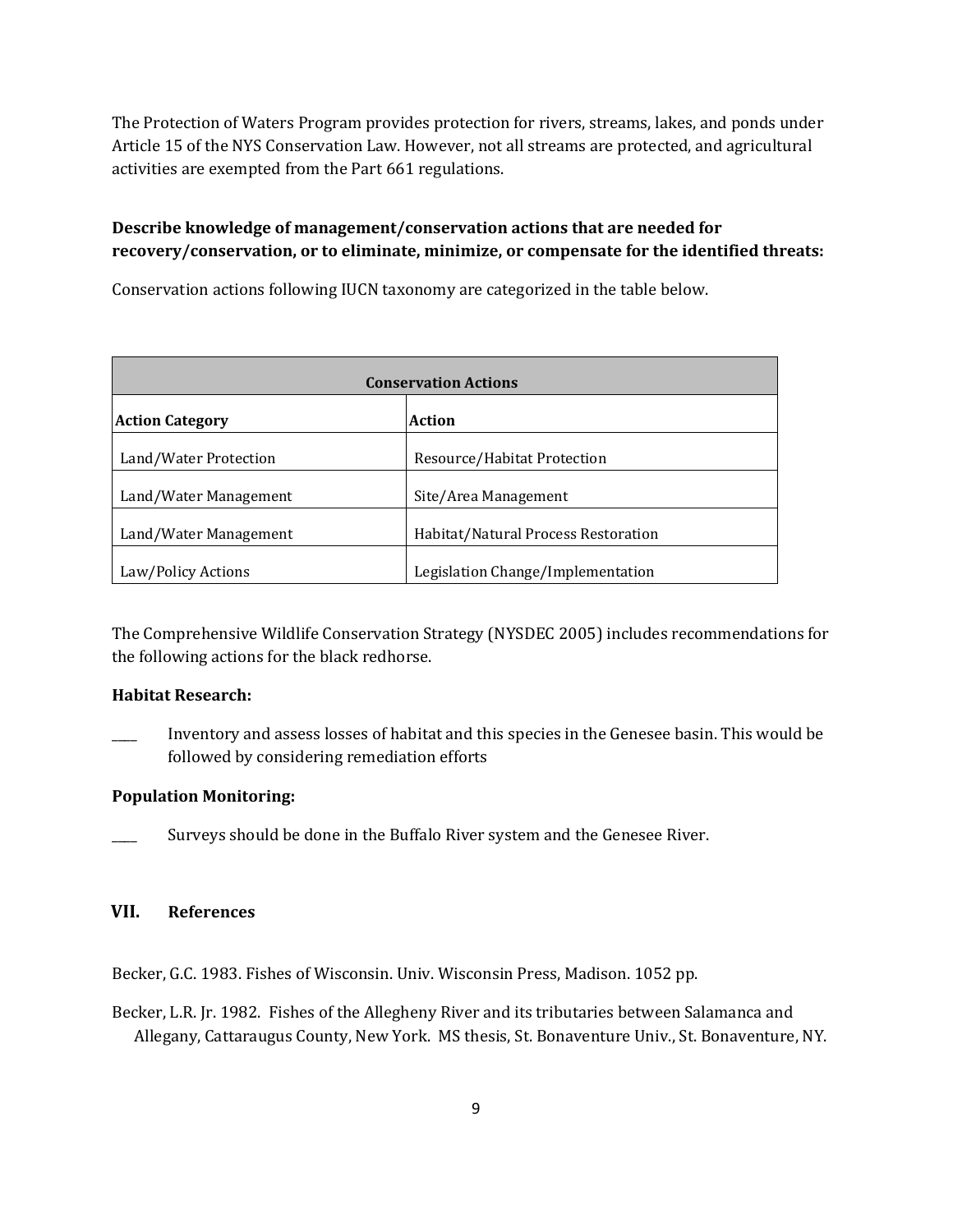The Protection of Waters Program provides protection for rivers, streams, lakes, and ponds under Article 15 of the NYS Conservation Law. However, not all streams are protected, and agricultural activities are exempted from the Part 661 regulations.

# **Describe knowledge of management/conservation actions that are needed for recovery/conservation, or to eliminate, minimize, or compensate for the identified threats:**

Conservation actions following IUCN taxonomy are categorized in the table below.

| <b>Conservation Actions</b> |                                     |  |
|-----------------------------|-------------------------------------|--|
| <b>Action Category</b>      | Action                              |  |
| Land/Water Protection       | Resource/Habitat Protection         |  |
| Land/Water Management       | Site/Area Management                |  |
| Land/Water Management       | Habitat/Natural Process Restoration |  |
| Law/Policy Actions          | Legislation Change/Implementation   |  |

The Comprehensive Wildlife Conservation Strategy (NYSDEC 2005) includes recommendations for the following actions for the black redhorse.

## **Habitat Research:**

\_\_\_\_ Inventory and assess losses of habitat and this species in the Genesee basin. This would be followed by considering remediation efforts

## **Population Monitoring:**

Surveys should be done in the Buffalo River system and the Genesee River.

## **VII. References**

Becker, G.C. 1983. Fishes of Wisconsin. Univ. Wisconsin Press, Madison. 1052 pp.

Becker, L.R. Jr. 1982. Fishes of the Allegheny River and its tributaries between Salamanca and Allegany, Cattaraugus County, New York. MS thesis, St. Bonaventure Univ., St. Bonaventure, NY.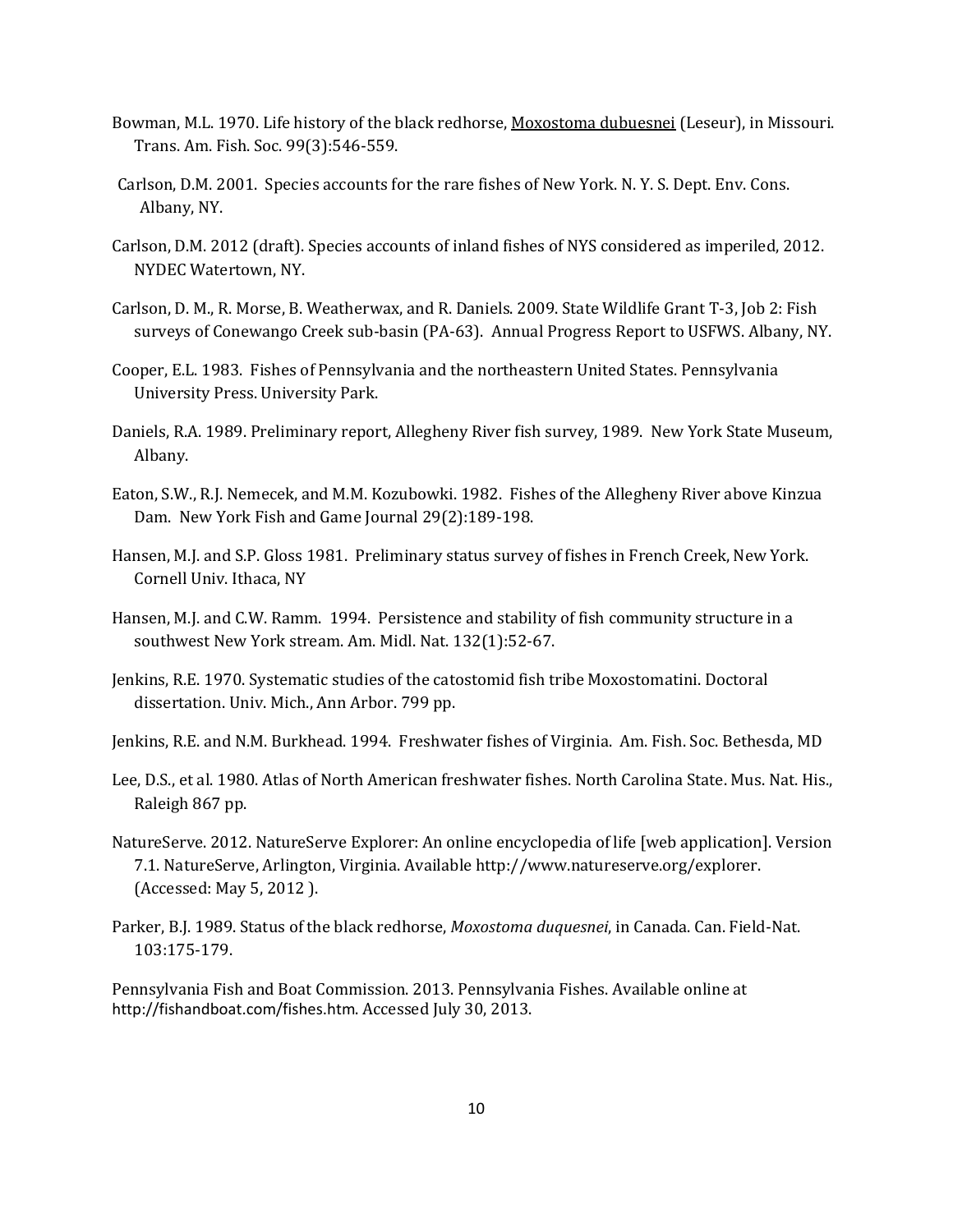- Bowman, M.L. 1970. Life history of the black redhorse, Moxostoma dubuesnei (Leseur), in Missouri. Trans. Am. Fish. Soc. 99(3):546-559.
- Carlson, D.M. 2001. Species accounts for the rare fishes of New York. N. Y. S. Dept. Env. Cons. Albany, NY.
- Carlson, D.M. 2012 (draft). Species accounts of inland fishes of NYS considered as imperiled, 2012. NYDEC Watertown, NY.
- Carlson, D. M., R. Morse, B. Weatherwax, and R. Daniels. 2009. State Wildlife Grant T-3, Job 2: Fish surveys of Conewango Creek sub-basin (PA-63). Annual Progress Report to USFWS. Albany, NY.
- Cooper, E.L. 1983. Fishes of Pennsylvania and the northeastern United States. Pennsylvania University Press. University Park.
- Daniels, R.A. 1989. Preliminary report, Allegheny River fish survey, 1989. New York State Museum, Albany.
- Eaton, S.W., R.J. Nemecek, and M.M. Kozubowki. 1982. Fishes of the Allegheny River above Kinzua Dam. New York Fish and Game Journal 29(2):189-198.
- Hansen, M.J. and S.P. Gloss 1981. Preliminary status survey of fishes in French Creek, New York. Cornell Univ. Ithaca, NY
- Hansen, M.J. and C.W. Ramm. 1994. Persistence and stability of fish community structure in a southwest New York stream. Am. Midl. Nat. 132(1):52-67.
- Jenkins, R.E. 1970. Systematic studies of the catostomid fish tribe Moxostomatini. Doctoral dissertation. Univ. Mich., Ann Arbor. 799 pp.
- Jenkins, R.E. and N.M. Burkhead. 1994. Freshwater fishes of Virginia. Am. Fish. Soc. Bethesda, MD
- Lee, D.S., et al. 1980. Atlas of North American freshwater fishes. North Carolina State. Mus. Nat. His., Raleigh 867 pp.
- NatureServe. 2012. NatureServe Explorer: An online encyclopedia of life [web application]. Version 7.1. NatureServe, Arlington, Virginia. Available http://www.natureserve.org/explorer. (Accessed: May 5, 2012 ).
- Parker, B.J. 1989. Status of the black redhorse, *Moxostoma duquesnei*, in Canada. Can. Field-Nat. 103:175-179.

Pennsylvania Fish and Boat Commission. 2013. Pennsylvania Fishes. Available online at <http://fishandboat.com/fishes.htm>. Accessed July 30, 2013.